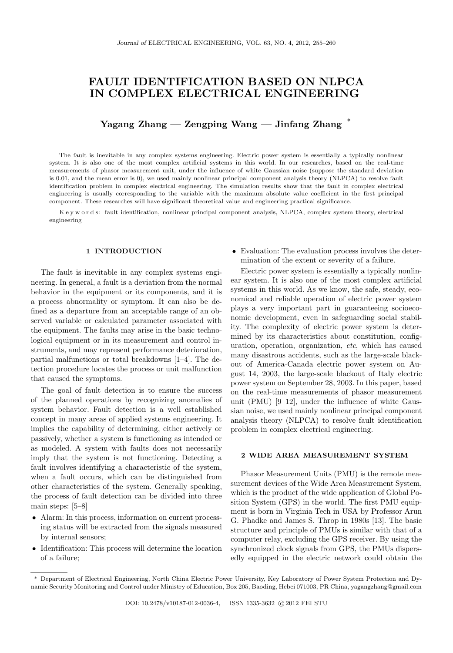# FAULT IDENTIFICATION BASED ON NLPCA IN COMPLEX ELECTRICAL ENGINEERING

Yagang Zhang — Zengping Wang — Jinfang Zhang  $^*$ 

The fault is inevitable in any complex systems engineering. Electric power system is essentially a typically nonlinear system. It is also one of the most complex artificial systems in this world. In our researches, based on the real-time measurements of phasor measurement unit, under the influence of white Gaussian noise (suppose the standard deviation is 0.01, and the mean error is 0), we used mainly nonlinear principal component analysis theory (NLPCA) to resolve fault identification problem in complex electrical engineering. The simulation results show that the fault in complex electrical engineering is usually corresponding to the variable with the maximum absolute value coefficient in the first principal component. These researches will have significant theoretical value and engineering practical significance.

K e y w o r d s: fault identification, nonlinear principal component analysis, NLPCA, complex system theory, electrical engineering

# 1 INTRODUCTION

The fault is inevitable in any complex systems engineering. In general, a fault is a deviation from the normal behavior in the equipment or its components, and it is a process abnormality or symptom. It can also be defined as a departure from an acceptable range of an observed variable or calculated parameter associated with the equipment. The faults may arise in the basic technological equipment or in its measurement and control instruments, and may represent performance deterioration, partial malfunctions or total breakdowns [1–4]. The detection procedure locates the process or unit malfunction that caused the symptoms.

The goal of fault detection is to ensure the success of the planned operations by recognizing anomalies of system behavior. Fault detection is a well established concept in many areas of applied systems engineering. It implies the capability of determining, either actively or passively, whether a system is functioning as intended or as modeled. A system with faults does not necessarily imply that the system is not functioning. Detecting a fault involves identifying a characteristic of the system, when a fault occurs, which can be distinguished from other characteristics of the system. Generally speaking, the process of fault detection can be divided into three main steps: [5–8]

- Alarm: In this process, information on current processing status will be extracted from the signals measured by internal sensors;
- Identification: This process will determine the location of a failure;

• Evaluation: The evaluation process involves the determination of the extent or severity of a failure.

Electric power system is essentially a typically nonlinear system. It is also one of the most complex artificial systems in this world. As we know, the safe, steady, economical and reliable operation of electric power system plays a very important part in guaranteeing socioeconomic development, even in safeguarding social stability. The complexity of electric power system is determined by its characteristics about constitution, configuration, operation, organization, etc, which has caused many disastrous accidents, such as the large-scale blackout of America-Canada electric power system on August 14, 2003, the large-scale blackout of Italy electric power system on September 28, 2003. In this paper, based on the real-time measurements of phasor measurement unit (PMU) [9–12], under the influence of white Gaussian noise, we used mainly nonlinear principal component analysis theory (NLPCA) to resolve fault identification problem in complex electrical engineering.

## 2 WIDE AREA MEASUREMENT SYSTEM

Phasor Measurement Units (PMU) is the remote measurement devices of the Wide Area Measurement System, which is the product of the wide application of Global Position System (GPS) in the world. The first PMU equipment is born in Virginia Tech in USA by Professor Arun G. Phadke and James S. Throp in 1980s [13]. The basic structure and principle of PMUs is similar with that of a computer relay, excluding the GPS receiver. By using the synchronized clock signals from GPS, the PMUs dispersedly equipped in the electric network could obtain the

<sup>∗</sup> Department of Electrical Engineering, North China Electric Power University, Key Laboratory of Power System Protection and Dynamic Security Monitoring and Control under Ministry of Education, Box 205, Baoding, Hebei 071003, PR China, yagangzhang@gmail.com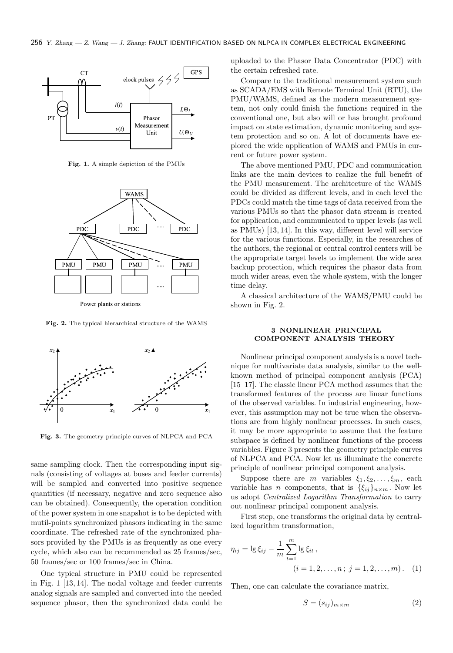

Fig. 1. A simple depiction of the PMUs



Power plants or stations

Fig. 2. The typical hierarchical structure of the WAMS



Fig. 3. The geometry principle curves of NLPCA and PCA

same sampling clock. Then the corresponding input signals (consisting of voltages at buses and feeder currents) will be sampled and converted into positive sequence quantities (if necessary, negative and zero sequence also can be obtained). Consequently, the operation condition of the power system in one snapshot is to be depicted with mutil-points synchronized phasors indicating in the same coordinate. The refreshed rate of the synchronized phasors provided by the PMUs is as frequently as one every cycle, which also can be recommended as 25 frames/sec, 50 frames/sec or 100 frames/sec in China.

One typical structure in PMU could be represented in Fig. 1 [13, 14]. The nodal voltage and feeder currents analog signals are sampled and converted into the needed sequence phasor, then the synchronized data could be

uploaded to the Phasor Data Concentrator (PDC) with the certain refreshed rate.

Compare to the traditional measurement system such as SCADA/EMS with Remote Terminal Unit (RTU), the PMU/WAMS, defined as the modern measurement system, not only could finish the functions required in the conventional one, but also will or has brought profound impact on state estimation, dynamic monitoring and system protection and so on. A lot of documents have explored the wide application of WAMS and PMUs in current or future power system.

The above mentioned PMU, PDC and communication links are the main devices to realize the full benefit of the PMU measurement. The architecture of the WAMS could be divided as different levels, and in each level the PDCs could match the time tags of data received from the various PMUs so that the phasor data stream is created for application, and communicated to upper levels (as well as PMUs) [13, 14]. In this way, different level will service for the various functions. Especially, in the researches of the authors, the regional or central control centers will be the appropriate target levels to implement the wide area backup protection, which requires the phasor data from much wider areas, even the whole system, with the longer time delay.

A classical architecture of the WAMS/PMU could be shown in Fig. 2.

### 3 NONLINEAR PRINCIPAL COMPONENT ANALYSIS THEORY

Nonlinear principal component analysis is a novel technique for multivariate data analysis, similar to the wellknown method of principal component analysis (PCA) [15–17]. The classic linear PCA method assumes that the transformed features of the process are linear functions of the observed variables. In industrial engineering, however, this assumption may not be true when the observations are from highly nonlinear processes. In such cases, it may be more appropriate to assume that the feature subspace is defined by nonlinear functions of the process variables. Figure 3 presents the geometry principle curves of NLPCA and PCA. Now let us illuminate the concrete principle of nonlinear principal component analysis.

Suppose there are m variables  $\xi_1, \xi_2, \ldots, \xi_m$ , each variable has *n* components, that is  $\{\xi_{ij}\}_n \times m$ . Now let us adopt Centralized Logarithm Transformation to carry out nonlinear principal component analysis.

First step, one transforms the original data by centralized logarithm transformation,

$$
\eta_{ij} = \lg \xi_{ij} - \frac{1}{m} \sum_{t=1}^{m} \lg \xi_{it},
$$
  
(*i* = 1, 2, ..., *n*; *j* = 1, 2, ..., *m*). (1)

Then, one can calculate the covariance matrix,

$$
S = (s_{ij})_{m \times m} \tag{2}
$$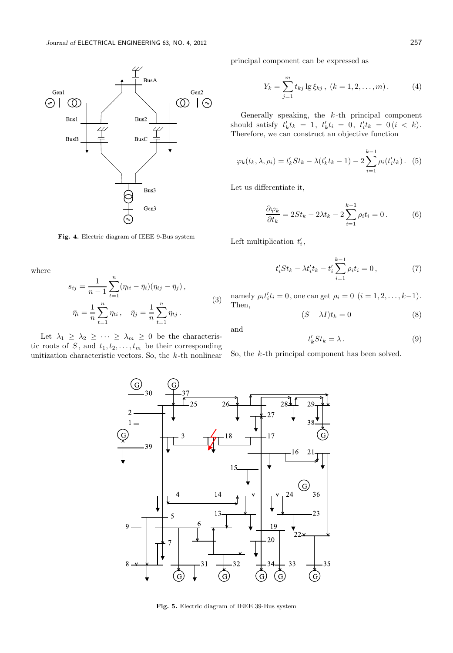

Fig. 4. Electric diagram of IEEE 9-Bus system

where

$$
s_{ij} = \frac{1}{n-1} \sum_{t=1}^{n} (\eta_{ti} - \bar{\eta}_i)(\eta_{tj} - \bar{\eta}_j),
$$
  

$$
\bar{\eta}_i = \frac{1}{n} \sum_{t=1}^{n} \eta_{ti}, \quad \bar{\eta}_j = \frac{1}{n} \sum_{t=1}^{n} \eta_{tj}.
$$
 (3)

Let  $\lambda_1 \geq \lambda_2 \geq \cdots \geq \lambda_m \geq 0$  be the characteristic roots of S, and  $t_1, t_2, \ldots, t_m$  be their corresponding unitization characteristic vectors. So, the  $k$ -th nonlinear principal component can be expressed as

$$
Y_k = \sum_{j=1}^m t_{kj} \lg \xi_{kj}, \ (k = 1, 2, \dots, m). \tag{4}
$$

Generally speaking, the  $k$ -th principal component should satisfy  $t'_k t_k = 1, t'_k t_i = 0, t'_i t_k = 0 (i < k).$ Therefore, we can construct an objective function

$$
\varphi_k(t_k, \lambda, \rho_i) = t'_k St_k - \lambda (t'_k t_k - 1) - 2 \sum_{i=1}^{k-1} \rho_i (t'_i t_k).
$$
 (5)

Let us differentiate it,

$$
\frac{\partial \varphi_k}{\partial t_k} = 2St_k - 2\lambda t_k - 2\sum_{i=1}^{k-1} \rho_i t_i = 0.
$$
 (6)

Left multiplication  $t'_{i}$ ,

$$
t_i' St_k - \lambda t_i' t_k - t_i' \sum_{i=1}^{k-1} \rho_i t_i = 0, \qquad (7)
$$

namely  $\rho_i t'_i t_i = 0$ , one can get  $\rho_i = 0$   $(i = 1, 2, ..., k-1)$ . Then,

$$
(S - \lambda I)t_k = 0 \tag{8}
$$

and

$$
t_k' St_k = \lambda \,. \tag{9}
$$

So, the  $k$ -th principal component has been solved.



Fig. 5. Electric diagram of IEEE 39-Bus system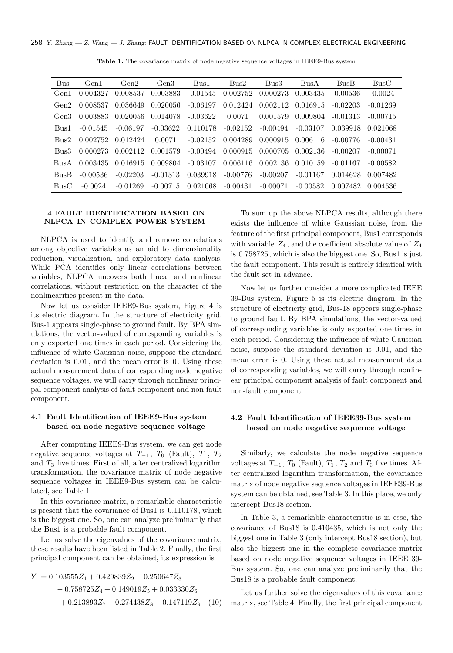| Bus  | Gen <sub>1</sub> | Gen2 | Gen <sub>3</sub> | Bus1 | Bus2                                                                                                  | Bus3 | Bus A | BusB. | BusC       |
|------|------------------|------|------------------|------|-------------------------------------------------------------------------------------------------------|------|-------|-------|------------|
|      |                  |      |                  |      | Gen1 $0.004327$ $0.008537$ $0.003883$ $-0.01545$ $0.002752$ $0.000273$ $0.003435$ $-0.00536$          |      |       |       | $-0.0024$  |
|      |                  |      |                  |      | Gen2 $0.008537$ $0.036649$ $0.020056$ $-0.06197$ $0.012424$ $0.002112$ $0.016915$ $-0.02203$          |      |       |       | $-0.01269$ |
|      |                  |      |                  |      | Gen3 $0.003883$ $0.020056$ $0.014078$ $-0.03622$ $0.0071$ $0.001579$ $0.009804$ $-0.01313$ $-0.00715$ |      |       |       |            |
|      |                  |      |                  |      | Bus1 -0.01545 -0.06197 -0.03622 0.110178 -0.02152 -0.00494 -0.03107 0.039918 0.021068                 |      |       |       |            |
| Bus2 |                  |      |                  |      | $0.002752$ $0.012424$ $0.0071$ $-0.02152$ $0.004289$ $0.000915$ $0.006116$ $-0.00776$                 |      |       |       | $-0.00431$ |

Bus3 0.000273 0.002112 0.001579 -0.00494 0.000915 0.000705 0.002136 -0.00207 -0.00071 BusA 0.003435 0.016915 0.009804 -0.03107 0.006116 0.002136 0.010159 -0.01167 -0.00582 BusB -0.00536 -0.02203 -0.01313 0.039918 -0.00776 -0.00207 -0.01167 0.014628 0.007482 BusC -0.0024 -0.01269 -0.00715 0.021068 -0.00431 -0.00071 -0.00582 0.007482 0.004536

Table 1. The covariance matrix of node negative sequence voltages in IEEE9-Bus system

### 4 FAULT IDENTIFICATION BASED ON NLPCA IN COMPLEX POWER SYSTEM

NLPCA is used to identify and remove correlations among objective variables as an aid to dimensionality reduction, visualization, and exploratory data analysis. While PCA identifies only linear correlations between variables, NLPCA uncovers both linear and nonlinear correlations, without restriction on the character of the nonlinearities present in the data.

Now let us consider IEEE9-Bus system, Figure 4 is its electric diagram. In the structure of electricity grid, Bus-1 appears single-phase to ground fault. By BPA simulations, the vector-valued of corresponding variables is only exported one times in each period. Considering the influence of white Gaussian noise, suppose the standard deviation is 0.01, and the mean error is 0. Using these actual measurement data of corresponding node negative sequence voltages, we will carry through nonlinear principal component analysis of fault component and non-fault component.

### 4.1 Fault Identification of IEEE9-Bus system based on node negative sequence voltage

After computing IEEE9-Bus system, we can get node negative sequence voltages at  $T_{-1}$ ,  $T_0$  (Fault),  $T_1$ ,  $T_2$ and  $T_3$  five times. First of all, after centralized logarithm transformation, the covariance matrix of node negative sequence voltages in IEEE9-Bus system can be calculated, see Table 1.

In this covariance matrix, a remarkable characteristic is present that the covariance of Bus1 is 0.110178, which is the biggest one. So, one can analyze preliminarily that the Bus1 is a probable fault component.

Let us solve the eigenvalues of the covariance matrix, these results have been listed in Table 2. Finally, the first principal component can be obtained, its expression is

$$
Y_1 = 0.103555Z_1 + 0.429839Z_2 + 0.250647Z_3
$$
  
- 0.758725Z<sub>4</sub> + 0.149019Z<sub>5</sub> + 0.033330Z<sub>6</sub>  
+ 0.213893Z<sub>7</sub> - 0.274438Z<sub>8</sub> - 0.147119Z<sub>9</sub> (10)

To sum up the above NLPCA results, although there exists the influence of white Gaussian noise, from the feature of the first principal component, Bus1 corresponds with variable  $Z_4$ , and the coefficient absolute value of  $Z_4$ is 0.758725, which is also the biggest one. So, Bus1 is just the fault component. This result is entirely identical with the fault set in advance.

Now let us further consider a more complicated IEEE 39-Bus system, Figure 5 is its electric diagram. In the structure of electricity grid, Bus-18 appears single-phase to ground fault. By BPA simulations, the vector-valued of corresponding variables is only exported one times in each period. Considering the influence of white Gaussian noise, suppose the standard deviation is 0.01, and the mean error is 0. Using these actual measurement data of corresponding variables, we will carry through nonlinear principal component analysis of fault component and non-fault component.

# 4.2 Fault Identification of IEEE39-Bus system based on node negative sequence voltage

Similarly, we calculate the node negative sequence voltages at  $T_{-1}$ ,  $T_0$  (Fault),  $T_1$ ,  $T_2$  and  $T_3$  five times. After centralized logarithm transformation, the covariance matrix of node negative sequence voltages in IEEE39-Bus system can be obtained, see Table 3. In this place, we only intercept Bus18 section.

In Table 3, a remarkable characteristic is in esse, the covariance of Bus18 is 0.410435, which is not only the biggest one in Table 3 (only intercept Bus18 section), but also the biggest one in the complete covariance matrix based on node negative sequence voltages in IEEE 39- Bus system. So, one can analyze preliminarily that the Bus18 is a probable fault component.

Let us further solve the eigenvalues of this covariance matrix, see Table 4. Finally, the first principal component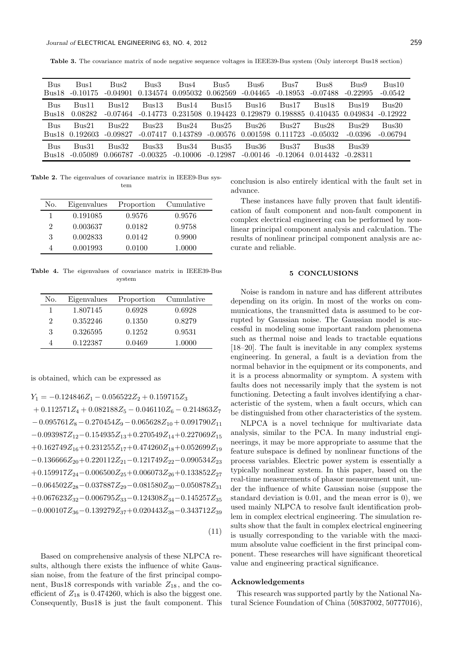Table 3. The covariance matrix of node negative sequence voltages in IEEE39-Bus system (Only intercept Bus18 section)

| Bus   | Bus1       | Bus2       | Bus3       | Bus4       | Bus5       | Bus6       | Bus7       | Bus8       | Bus9       | Bus10      |
|-------|------------|------------|------------|------------|------------|------------|------------|------------|------------|------------|
| Bus18 | $-0.10175$ | $-0.04901$ | 0.134574   | 0.095032   | 0.062569   | $-0.04465$ | $-0.18953$ | $-0.07488$ | $-0.22995$ | $-0.0542$  |
| Bus   | Bus11      | Bus12      | Bus13      | Bus14      | Bus15      | Bus16      | Bus17      | Bus18      | Bus19      | Bus20      |
| Bus18 | 0.08282    | $-0.07464$ | $-0.14773$ | 0.231508   | 0.194423   | 0.129879   | 0.198885   | 0.410435   | 0.049834   | $-0.12922$ |
| Bus   | Bus21      | Bus22      | Bus23      | Bus24      | Bus25      | Bus26      | Bus27      | Bus28      | Bus29      | Bus30      |
| Bus18 | 0.192603   | $-0.09827$ | $-0.07417$ | 0.143789   | $-0.00576$ | 0.001598   | 0.111723   | $-0.05032$ | $-0.0396$  | $-0.06794$ |
| Bus   | Bus31      | Bus32      | Bus33      | Bus34      | Bus35      | Bus36      | Bus37      | Bus38      | Bus39      |            |
| Bus18 | $-0.05089$ | 0.066787   | $-0.00325$ | $-0.10006$ | $-0.12987$ | $-0.00146$ | $-0.12064$ | 0.014432   | $-0.28311$ |            |

Table 2. The eigenvalues of covariance matrix in IEEE9-Bus system

| No. | Eigenvalues | Proportion | Cumulative |
|-----|-------------|------------|------------|
| 1   | 0.191085    | 0.9576     | 0.9576     |
| 2   | 0.003637    | 0.0182     | 0.9758     |
| 3   | 0.002833    | 0.0142     | 0.9900     |
|     | 0.001993    | 0.0100     | 1.0000     |

Table 4. The eigenvalues of covariance matrix in IEEE39-Bus system

| No. | Eigenvalues | Proportion | Cumulative |
|-----|-------------|------------|------------|
|     | 1.807145    | 0.6928     | 0.6928     |
| 2   | 0.352246    | 0.1350     | 0.8279     |
| 3   | 0.326595    | 0.1252     | 0.9531     |
| 4   | 0.122387    | 0.0469     | 1.0000     |

is obtained, which can be expressed as

 $Y_1 = -0.124846Z_1 - 0.056522Z_2 + 0.159715Z_3$  $+ 0.112571Z_4 + 0.082188Z_5 - 0.046110Z_6 - 0.214863Z_7$  $-0.095761Z_8 - 0.270454Z_9 - 0.065628Z_{10} + 0.091790Z_{11}$  $-0.093987Z_{12}-0.154935Z_{13}+0.270549Z_{14}+0.227069Z_{15}$  $+0.162749Z_{16}+0.231255Z_{17}+0.474260Z_{18}+0.052699Z_{19}$  $-0.136666Z_{20}+0.220112Z_{21}-0.121749Z_{22}-0.090534Z_{23}$ +0.159917 $Z_{24}$ -0.006500 $Z_{25}$ +0.006073 $Z_{26}$ +0.133852 $Z_{27}$  $-0.064502Z_{28}-0.037887Z_{29}-0.081580Z_{30}-0.050878Z_{31}$ +0.067623 $Z_{32}$ −0.006795 $Z_{33}$ −0.124308 $Z_{34}$ −0.145257 $Z_{35}$  $-0.000107Z_{36}-0.139279Z_{37}+0.020443Z_{38}-0.343712Z_{39}$ 

(11)

Based on comprehensive analysis of these NLPCA results, although there exists the influence of white Gaussian noise, from the feature of the first principal component, Bus18 corresponds with variable  $Z_{18}$ , and the coefficient of  $Z_{18}$  is 0.474260, which is also the biggest one. Consequently, Bus18 is just the fault component. This conclusion is also entirely identical with the fault set in advance.

These instances have fully proven that fault identification of fault component and non-fault component in complex electrical engineering can be performed by nonlinear principal component analysis and calculation. The results of nonlinear principal component analysis are accurate and reliable.

#### 5 CONCLUSIONS

Noise is random in nature and has different attributes depending on its origin. In most of the works on communications, the transmitted data is assumed to be corrupted by Gaussian noise. The Gaussian model is successful in modeling some important random phenomena such as thermal noise and leads to tractable equations [18–20]. The fault is inevitable in any complex systems engineering. In general, a fault is a deviation from the normal behavior in the equipment or its components, and it is a process abnormality or symptom. A system with faults does not necessarily imply that the system is not functioning. Detecting a fault involves identifying a characteristic of the system, when a fault occurs, which can be distinguished from other characteristics of the system.

NLPCA is a novel technique for multivariate data analysis, similar to the PCA. In many industrial engineerings, it may be more appropriate to assume that the feature subspace is defined by nonlinear functions of the process variables. Electric power system is essentially a typically nonlinear system. In this paper, based on the real-time measurements of phasor measurement unit, under the influence of white Gaussian noise (suppose the standard deviation is 0.01, and the mean error is 0), we used mainly NLPCA to resolve fault identification problem in complex electrical engineering. The simulation results show that the fault in complex electrical engineering is usually corresponding to the variable with the maximum absolute value coefficient in the first principal component. These researches will have significant theoretical value and engineering practical significance.

### Acknowledgements

This research was supported partly by the National Natural Science Foundation of China (50837002, 50777016),